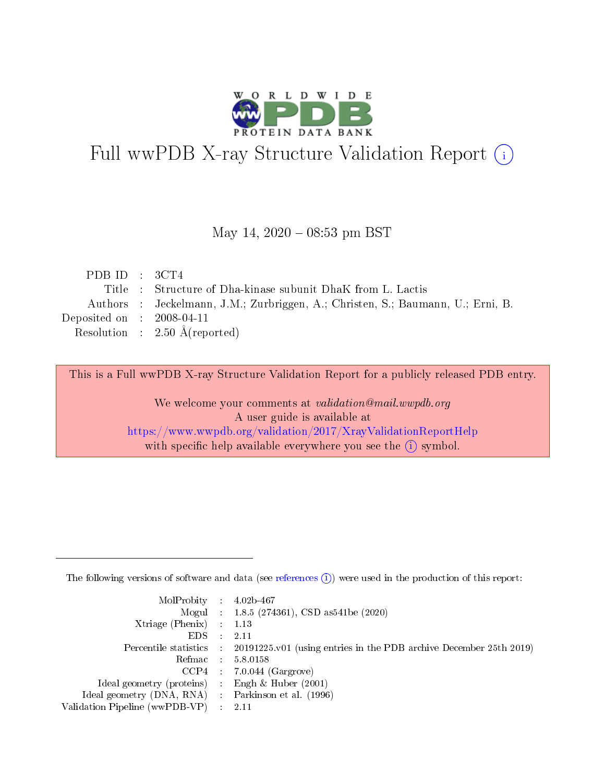

# Full wwPDB X-ray Structure Validation Report (i)

#### May 14,  $2020 - 08:53$  pm BST

| PDB ID : $3CT4$             |                                                                                 |
|-----------------------------|---------------------------------------------------------------------------------|
|                             | Title : Structure of Dha-kinase subunit DhaK from L. Lactis                     |
|                             | Authors : Jeckelmann, J.M.; Zurbriggen, A.; Christen, S.; Baumann, U.; Erni, B. |
| Deposited on : $2008-04-11$ |                                                                                 |
|                             | Resolution : $2.50 \text{ Å}$ (reported)                                        |

This is a Full wwPDB X-ray Structure Validation Report for a publicly released PDB entry.

We welcome your comments at validation@mail.wwpdb.org A user guide is available at <https://www.wwpdb.org/validation/2017/XrayValidationReportHelp> with specific help available everywhere you see the  $(i)$  symbol.

The following versions of software and data (see [references](https://www.wwpdb.org/validation/2017/XrayValidationReportHelp#references)  $(1)$ ) were used in the production of this report:

| MolProbity : $4.02b-467$                           |               |                                                                                            |
|----------------------------------------------------|---------------|--------------------------------------------------------------------------------------------|
|                                                    |               | Mogul : $1.8.5$ (274361), CSD as 541be (2020)                                              |
| Xtriage (Phenix) $: 1.13$                          |               |                                                                                            |
| EDS.                                               | $\mathcal{L}$ | -2.11                                                                                      |
|                                                    |               | Percentile statistics : 20191225.v01 (using entries in the PDB archive December 25th 2019) |
|                                                    |               | Refmac : 5.8.0158                                                                          |
|                                                    |               | $CCP4$ 7.0.044 (Gargrove)                                                                  |
| Ideal geometry (proteins) : Engh $\&$ Huber (2001) |               |                                                                                            |
| Ideal geometry (DNA, RNA) Parkinson et al. (1996)  |               |                                                                                            |
| Validation Pipeline (wwPDB-VP) : 2.11              |               |                                                                                            |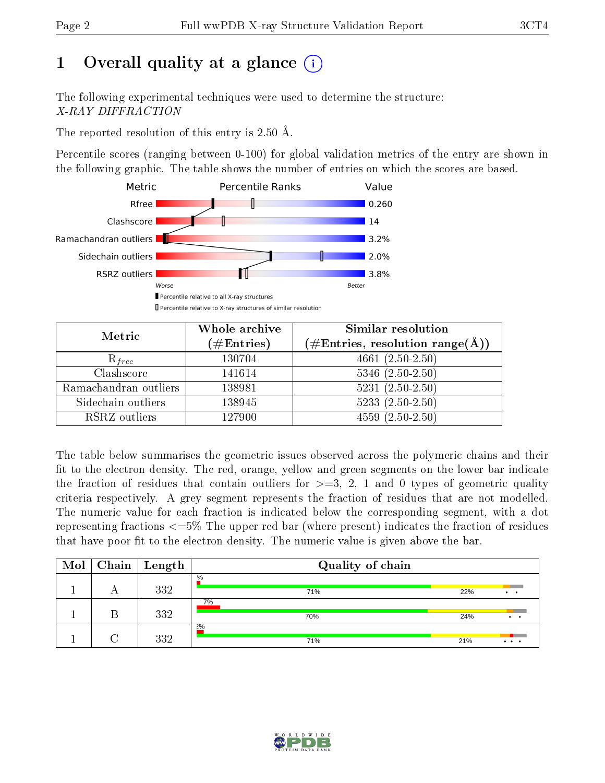# 1 [O](https://www.wwpdb.org/validation/2017/XrayValidationReportHelp#overall_quality)verall quality at a glance  $(i)$

The following experimental techniques were used to determine the structure: X-RAY DIFFRACTION

The reported resolution of this entry is  $2.50 \text{ Å}.$ 

Percentile scores (ranging between 0-100) for global validation metrics of the entry are shown in the following graphic. The table shows the number of entries on which the scores are based.



| Metric                | Whole archive<br>$(\#\text{Entries})$ | Similar resolution<br>$(\#\text{Entries},\,\text{resolution}\,\,\text{range}(\textup{\AA}))$ |
|-----------------------|---------------------------------------|----------------------------------------------------------------------------------------------|
| $R_{free}$            | 130704                                | $4661 (2.50 - 2.50)$                                                                         |
| Clashscore            | 141614                                | $5346$ $(2.50-2.50)$                                                                         |
| Ramachandran outliers | 138981                                | $5231 (2.50 - 2.50)$                                                                         |
| Sidechain outliers    | 138945                                | $5233(2.50-2.50)$                                                                            |
| RSRZ outliers         | 127900                                | $4559(2.50-2.50)$                                                                            |

The table below summarises the geometric issues observed across the polymeric chains and their fit to the electron density. The red, orange, yellow and green segments on the lower bar indicate the fraction of residues that contain outliers for  $>=3, 2, 1$  and 0 types of geometric quality criteria respectively. A grey segment represents the fraction of residues that are not modelled. The numeric value for each fraction is indicated below the corresponding segment, with a dot representing fractions  $\epsilon=5\%$  The upper red bar (where present) indicates the fraction of residues that have poor fit to the electron density. The numeric value is given above the bar.

| Mol | $\mid$ Chain $\mid$ | Length | Quality of chain |     |                 |  |  |
|-----|---------------------|--------|------------------|-----|-----------------|--|--|
|     | $\Gamma$            | 332    | %<br>71%         | 22% | $\cdot$ $\cdot$ |  |  |
|     |                     | 332    | 7%<br>70%        | 24% | $\cdot$ $\cdot$ |  |  |
|     |                     | 332    | $2\%$<br>71%     | 21% | $\cdots$        |  |  |

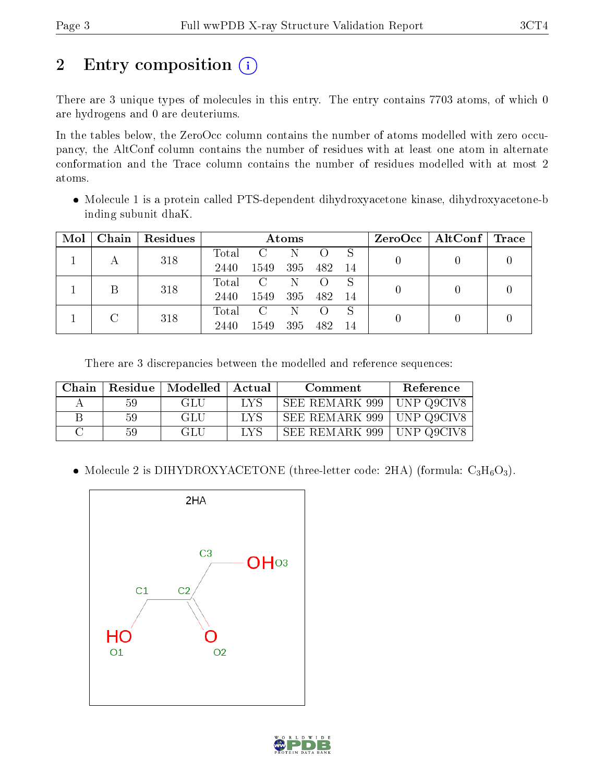# 2 Entry composition (i)

There are 3 unique types of molecules in this entry. The entry contains 7703 atoms, of which 0 are hydrogens and 0 are deuteriums.

In the tables below, the ZeroOcc column contains the number of atoms modelled with zero occupancy, the AltConf column contains the number of residues with at least one atom in alternate conformation and the Trace column contains the number of residues modelled with at most 2 atoms.

• Molecule 1 is a protein called PTS-dependent dihydroxyacetone kinase, dihydroxyacetone-b inding subunit dhaK.

| Mol | Chain | Residues | Atoms |                         |     |      |     | ZeroOcc   AltConf   Trace |  |
|-----|-------|----------|-------|-------------------------|-----|------|-----|---------------------------|--|
|     |       | 318      | Total | $\mathcal{C}$           | -N  |      |     |                           |  |
|     |       |          | 2440  | 1549                    | 395 | -482 | -14 |                           |  |
|     |       | 318      | Total | $\mathcal{C}$           | N   |      | S   |                           |  |
|     |       |          | 2440  | 1549                    | 395 | 482  | -14 |                           |  |
|     | C     |          | Total | $\overline{\mathbf{C}}$ | -N  |      | S   |                           |  |
|     |       | 318      | 2440  | 1549                    | 395 | 482  | -14 |                           |  |

There are 3 discrepancies between the modelled and reference sequences:

| Chain | Residue | Modelled   Actual |      | Comment        | Reference    |
|-------|---------|-------------------|------|----------------|--------------|
|       | 59      | GLU               | T YS | SEE REMARK 999 | ' UNP Q9CIV8 |
|       | 59      | GLU               | LVS  | SEE REMARK 999 | ' UNP Q9CIV8 |
|       | 59      | GLU               | LVS  | SEE REMARK 999 | ' UNP Q9CIV، |

• Molecule 2 is DIHYDROXYACETONE (three-letter code: 2HA) (formula:  $C_3H_6O_3$ ).



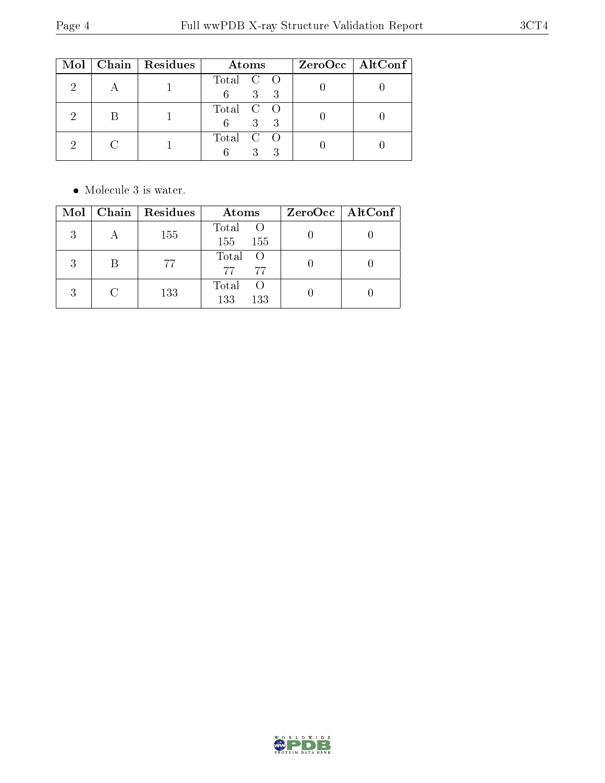|  | Mol   Chain   Residues | Atoms                             | ZeroOcc   AltConf |
|--|------------------------|-----------------------------------|-------------------|
|  |                        | Total C O<br>$3 \quad 3$<br>$6 -$ |                   |
|  |                        | Total C O<br>$3 \quad 3$<br>6.    |                   |
|  |                        | Total C O<br>$\mathbf{Q}$         |                   |

• Molecule 3 is water.

| $\text{Mol}$ | Chain Residues | Atoms                        | $ZeroOcc \mid AltConf \mid$ |
|--------------|----------------|------------------------------|-----------------------------|
| 3            | 155            | Total O<br>155<br>155        |                             |
| 3            | 77             | Total O<br>77<br>77          |                             |
|              | 133            | Total<br>- ( )<br>133<br>133 |                             |

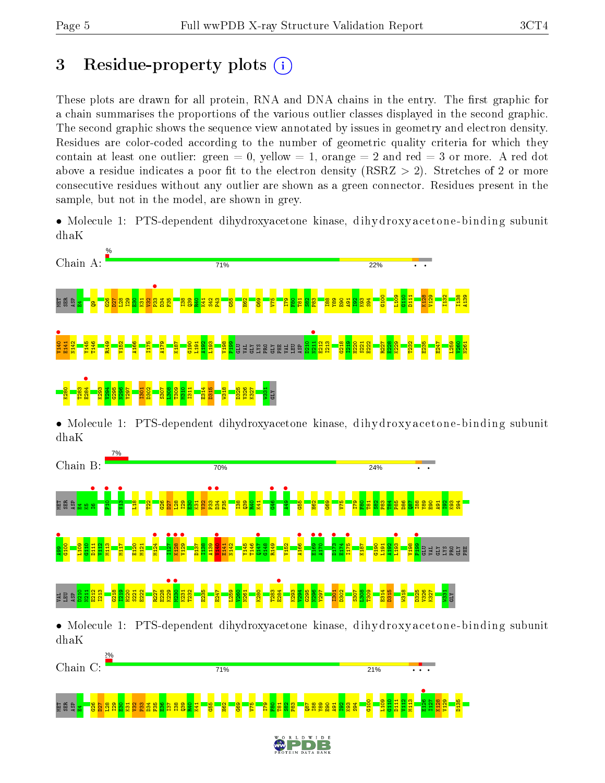# 3 Residue-property plots  $(i)$

These plots are drawn for all protein, RNA and DNA chains in the entry. The first graphic for a chain summarises the proportions of the various outlier classes displayed in the second graphic. The second graphic shows the sequence view annotated by issues in geometry and electron density. Residues are color-coded according to the number of geometric quality criteria for which they contain at least one outlier: green  $= 0$ , yellow  $= 1$ , orange  $= 2$  and red  $= 3$  or more. A red dot above a residue indicates a poor fit to the electron density (RSRZ  $> 2$ ). Stretches of 2 or more consecutive residues without any outlier are shown as a green connector. Residues present in the sample, but not in the model, are shown in grey.

• Molecule 1: PTS-dependent dihydroxyacetone kinase, dihydroxyacetone-binding subunit dhaK



• Molecule 1: PTS-dependent dihydroxyacetone kinase, dihydroxyacetone-binding subunit dhaK



• Molecule 1: PTS-dependent dihydroxyacetone kinase, dihydroxyacetone-binding subunit dhaK

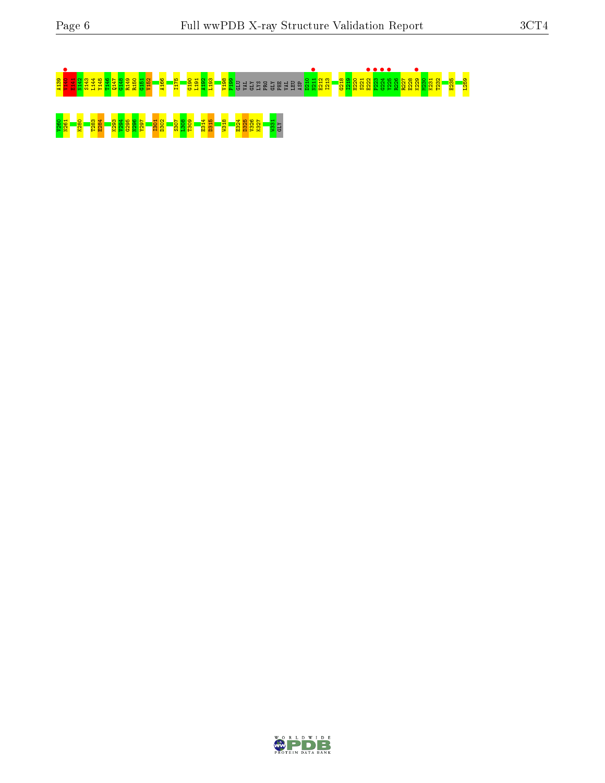# A139 V140 • E141 N142 S143 L144 Y145 T146 Q147 G148 R149 R150 G151 V152 A166 I175 G190 L191 A192 L193 V198 P199 GLU VAL GLY LYS PRO GLY PHE VAL LEU ASP D210 N211 • E212 I213 G218 I219 H220 S221 E222 • P223 • G224 • Y225 • R226 R227 E228 K229 • M230 K231 T232 E235 L259 <u>261 N261 K283 E284 K293 E285 N296 N296 A29</u><br><mark>261 September 1283 S302 E285 E285 E325 E325 H215 E324 K326 K327 H22</mark>

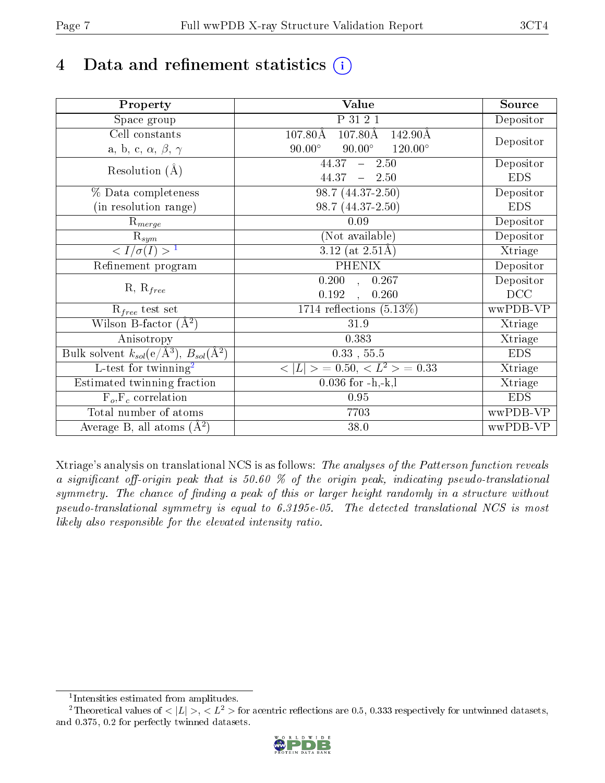# 4 Data and refinement statistics  $(i)$

| Property                                                             | Value                                               | Source     |
|----------------------------------------------------------------------|-----------------------------------------------------|------------|
| Space group                                                          | P 31 2 1                                            | Depositor  |
| Cell constants                                                       | $107.80\text{\AA}$<br>$107.80\text{\AA}$<br>142.90Å |            |
| a, b, c, $\alpha$ , $\beta$ , $\gamma$                               | $90.00^\circ$<br>$90.00^\circ$<br>$120.00^{\circ}$  | Depositor  |
| Resolution $(A)$                                                     | 44.37<br>$-2.50$                                    | Depositor  |
|                                                                      | $44.37 - 2.50$                                      | <b>EDS</b> |
| % Data completeness                                                  | 98.7 (44.37-2.50)                                   | Depositor  |
| (in resolution range)                                                | 98.7 (44.37-2.50)                                   | <b>EDS</b> |
| $R_{merge}$                                                          | 0.09                                                | Depositor  |
| $\mathrm{R}_{sym}$                                                   | (Not available)                                     | Depositor  |
| $\sqrt{I/\sigma}(I) > 1$                                             | 3.12 (at $2.51\text{\AA}$ )                         | Xtriage    |
| Refinement program                                                   | <b>PHENIX</b>                                       | Depositor  |
|                                                                      | $\overline{0.200}$ ,<br>0.267                       | Depositor  |
| $R, R_{free}$                                                        | 0.192<br>0.260                                      | DCC        |
| $R_{free}$ test set                                                  | 1714 reflections $(5.13\%)$                         | wwPDB-VP   |
| Wilson B-factor $(A^2)$                                              | 31.9                                                | Xtriage    |
| Anisotropy                                                           | 0.383                                               | Xtriage    |
| Bulk solvent $k_{sol}(e/\mathring{A}^3)$ , $B_{sol}(\mathring{A}^2)$ | $0.33$ , $55.5$                                     | <b>EDS</b> |
| L-test for twinning <sup>2</sup>                                     | $< L >$ = 0.50, $< L2 >$ = 0.33                     | Xtriage    |
| Estimated twinning fraction                                          | $0.036$ for $-h,-k,l$                               | Xtriage    |
| $F_o, F_c$ correlation                                               | 0.95                                                | <b>EDS</b> |
| Total number of atoms                                                | 7703                                                | wwPDB-VP   |
| Average B, all atoms $(A^2)$                                         | 38.0                                                | wwPDB-VP   |

Xtriage's analysis on translational NCS is as follows: The analyses of the Patterson function reveals a significant off-origin peak that is 50.60  $\%$  of the origin peak, indicating pseudo-translational symmetry. The chance of finding a peak of this or larger height randomly in a structure without pseudo-translational symmetry is equal to 6.3195e-05. The detected translational NCS is most likely also responsible for the elevated intensity ratio.

<sup>&</sup>lt;sup>2</sup>Theoretical values of  $\langle |L| \rangle$ ,  $\langle L^2 \rangle$  for acentric reflections are 0.5, 0.333 respectively for untwinned datasets, and 0.375, 0.2 for perfectly twinned datasets.



<span id="page-6-1"></span><span id="page-6-0"></span><sup>1</sup> Intensities estimated from amplitudes.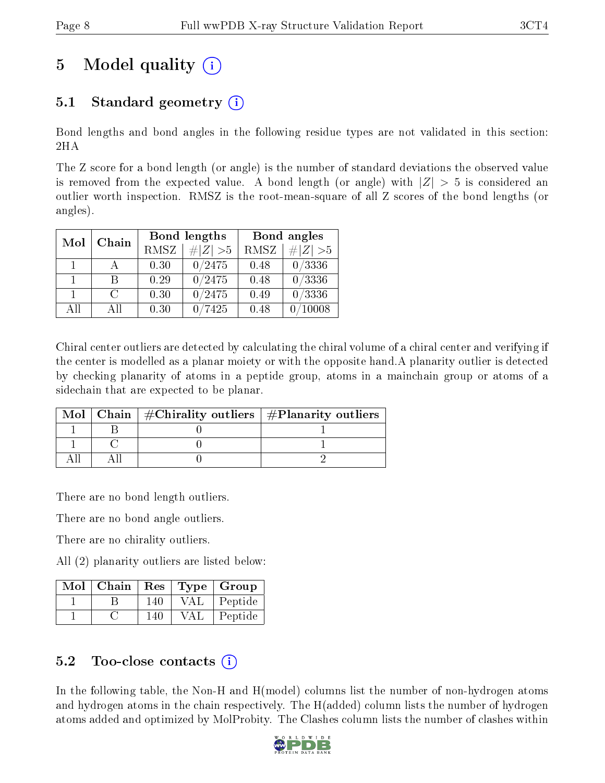# 5 Model quality  $(i)$

# 5.1 Standard geometry  $(i)$

Bond lengths and bond angles in the following residue types are not validated in this section: 2HA

The Z score for a bond length (or angle) is the number of standard deviations the observed value is removed from the expected value. A bond length (or angle) with  $|Z| > 5$  is considered an outlier worth inspection. RMSZ is the root-mean-square of all Z scores of the bond lengths (or angles).

| Mol          | Chain  |             | Bond lengths                 | Bond angles |             |  |
|--------------|--------|-------------|------------------------------|-------------|-------------|--|
|              |        | <b>RMSZ</b> | $\vert \# \vert Z \vert > 5$ | RMSZ        | # $ Z  > 5$ |  |
| 1            |        | 0.30        | 0/2475                       | 0.48        | 0/3336      |  |
| $\mathbf{1}$ | R      | 0.29        | 0/2475                       | 0.48        | 0/3336      |  |
|              | $\cap$ | 0.30        | 0/2475                       | 0.49        | 0/3336      |  |
| AH           | ΑĦ     | 0.30        | 7425                         | 0.48        | 10008       |  |

Chiral center outliers are detected by calculating the chiral volume of a chiral center and verifying if the center is modelled as a planar moiety or with the opposite hand.A planarity outlier is detected by checking planarity of atoms in a peptide group, atoms in a mainchain group or atoms of a sidechain that are expected to be planar.

|  | Mol   Chain   $\#\text{Chirality outliers}$   $\#\text{Planarity outliers}$ |  |
|--|-----------------------------------------------------------------------------|--|
|  |                                                                             |  |
|  |                                                                             |  |
|  |                                                                             |  |

There are no bond length outliers.

There are no bond angle outliers.

There are no chirality outliers.

All (2) planarity outliers are listed below:

| Mol | Chain | $\mathbf{Res}$ |     | Type   Group |
|-----|-------|----------------|-----|--------------|
|     |       | 140            | VAL | Peptide      |
|     |       | 140            | VAI | Peptide      |

## $5.2$  Too-close contacts  $(i)$

In the following table, the Non-H and H(model) columns list the number of non-hydrogen atoms and hydrogen atoms in the chain respectively. The H(added) column lists the number of hydrogen atoms added and optimized by MolProbity. The Clashes column lists the number of clashes within

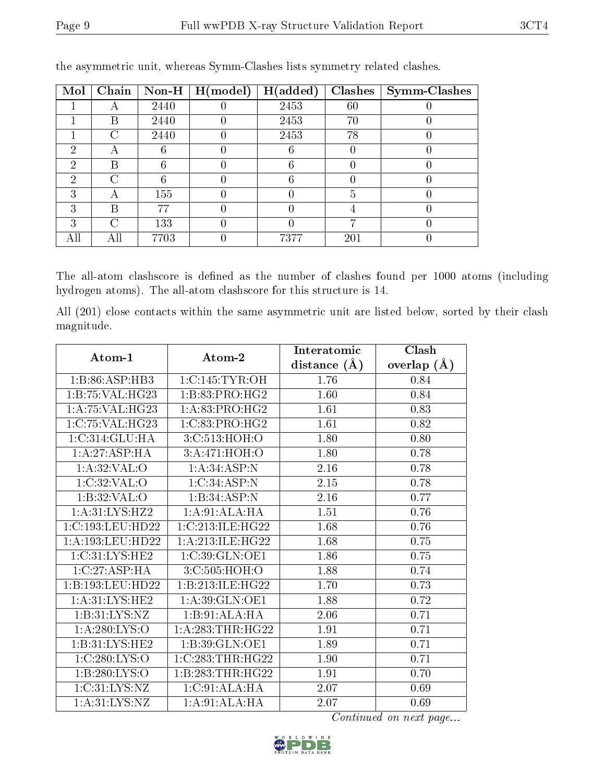| Mol | Chain | $\bf Non-H$ | H (model) | H(added) | <b>Clashes</b> | <b>Symm-Clashes</b> |
|-----|-------|-------------|-----------|----------|----------------|---------------------|
|     |       | 2440        |           | 2453     | 60             |                     |
|     | В     | 2440        |           | 2453     | 70             |                     |
|     | C     | 2440        |           | 2453     | 78             |                     |
| 2   | A     |             |           |          |                |                     |
| 2   | В     |             |           | 6        |                |                     |
| 2   | C     |             |           | 6        |                |                     |
| 3   | А     | 155         |           |          | 5              |                     |
| 3   | В     | 77          |           |          |                |                     |
| 3   | ⌒     | 133         |           |          |                |                     |
|     | Αll   | 7703        |           | 7377     | 201            |                     |

the asymmetric unit, whereas Symm-Clashes lists symmetry related clashes.

The all-atom clashscore is defined as the number of clashes found per 1000 atoms (including hydrogen atoms). The all-atom clashscore for this structure is 14.

All (201) close contacts within the same asymmetric unit are listed below, sorted by their clash magnitude.

| Atom-1                        | Atom-2              | Interatomic    | Clash           |
|-------------------------------|---------------------|----------------|-----------------|
|                               |                     | distance $(A)$ | overlap $(\AA)$ |
| $1: B:86: \overline{A}SP:HB3$ | 1:C:145:TYR:OH      | 1.76           | 0.84            |
| 1:B:75:VAL:HG23               | 1:B:83:PRO:HG2      | 1.60           | 0.84            |
| 1: A:75: VAL:HG23             | 1:A:83:PRO:HG2      | 1.61           | 0.83            |
| 1:C:75:VAL:HG23               | 1:C:83:PRO:HG2      | 1.61           | 0.82            |
| 1:C:314:GLU:HA                | 3:C:513:HOH:O       | 1.80           | 0.80            |
| 1:A:27:ASP:HA                 | 3:A:471:HOH:O       | 1.80           | 0.78            |
| 1: A:32: VAL:O                | 1: A:34:ASP:N       | $2.16\,$       | 0.78            |
| 1:C:32:VAL:O                  | 1:C:34:ASP:N        | 2.15           | 0.78            |
| 1: B:32: VAL:O                | 1:B:34:ASP:N        | 2.16           | 0.77            |
| 1: A:31:LYS:HZ2               | 1:A:91:ALA:HA       | 1.51           | 0.76            |
| 1:C:193:LEU:HD22              | 1:C:213:ILE:HG22    | 1.68           | 0.76            |
| 1:A:193:LEU:HD22              | 1: A:213: ILE: HG22 | 1.68           | 0.75            |
| 1:C:31:LYS:HE2                | 1:C:39:GLN:OE1      | 1.86           | 0.75            |
| 1:C:27:ASP:HA                 | 3:C:505:HOH:O       | 1.88           | 0.74            |
| 1:B:193:LEU:HD22              | 1:B:213:ILE:HG22    | 1.70           | 0.73            |
| 1: A:31: L <sub>YS:H</sub> E2 | 1:A:39:GLN:OE1      | 1.88           | 0.72            |
| 1: B:31: LYS: NZ              | 1:B:91:ALA:HA       | 2.06           | 0.71            |
| 1: A:280:LYS:O                | 1:A:283:THR:HG22    | 1.91           | 0.71            |
| 1:B:31:LYS:HE2                | 1:B:39:GLN:OE1      | 1.89           | 0.71            |
| 1:C:280:LYS:O                 | 1:C:283:THR:HG22    | 1.90           | 0.71            |
| 1:B:280:LYS:O                 | 1:B:283:THR:HG22    | 1.91           | 0.70            |
| 1: C:31: LYS:NZ               | 1:C:91:ALA:HA       | 2.07           | 0.69            |
| 1: A:31: LYS:NZ               | 1: A:91: ALA: HA    | 2.07           | 0.69            |

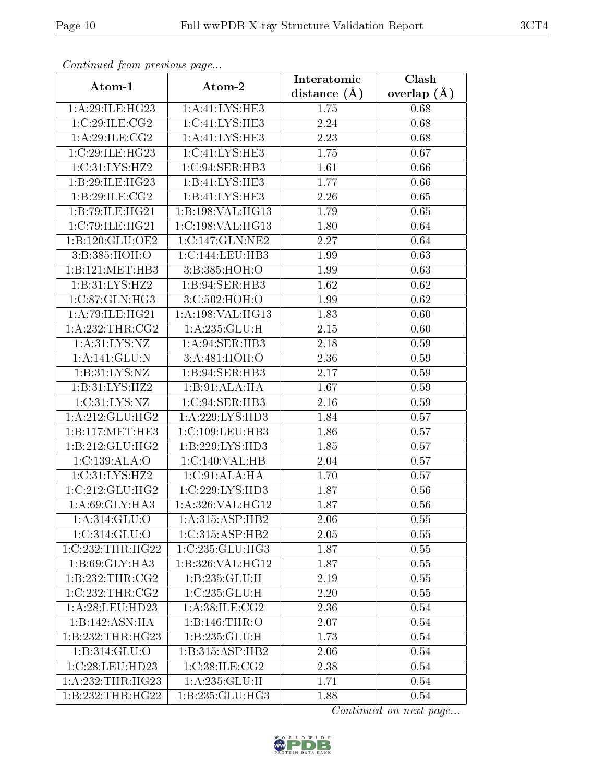| Continuea from previous page |                             | Interatomic    | Clash         |
|------------------------------|-----------------------------|----------------|---------------|
| Atom-1                       | Atom-2                      | distance $(A)$ | overlap $(A)$ |
| 1: A:29: ILE: HG23           | 1:A:41:LYS:HE3              | 1.75           | 0.68          |
| 1:C:29:ILE:CG2               | 1: C: 41: LYS: HE3          | 2.24           | 0.68          |
| 1: A:29: ILE: CG2            | $1:A:41:LYS:H\overline{E3}$ | 2.23           | 0.68          |
| 1:C:29:ILE:HG23              | 1: C: 41: LYS: HE3          | 1.75           | 0.67          |
| 1: C:31: LYS:HZ2             | 1:C:94:SER:HB3              | 1.61           | 0.66          |
| 1:B:29:ILE:HG23              | 1:B:41:LYS:HE3              | 1.77           | 0.66          |
| 1:B:29:ILE:CG2               | 1:B:41:LYS:HE3              | 2.26           | 0.65          |
| 1:B:79:ILE:HG21              | 1:B:198:VAL:HG13            | 1.79           | 0.65          |
| 1:C:79:ILE:HG21              | 1:C:198:VAL:HG13            | 1.80           | 0.64          |
| 1: B: 120: GLU: OE2          | 1:C:147:GLN:NE2             | 2.27           | 0.64          |
| 3: B: 385: HOH:O             | 1:C:144:LEU:HB3             | 1.99           | 0.63          |
| 1:B:121:MET:HB3              | 3:B:385:HOH:O               | 1.99           | 0.63          |
| 1:B:31:LYS:HZ2               | 1:B:94:SER:HB3              | 1.62           | $0.62\,$      |
| 1:C:87:GLN:HG3               | 3:C:502:HOH:O               | 1.99           | 0.62          |
| 1:A:79:ILE:HG21              | 1:A:198:VAL:HG13            | 1.83           | 0.60          |
| 1: A:232:THR:CG2             | 1:A:235:GLU:H               | 2.15           | 0.60          |
| 1: A:31: LYS:NZ              | 1:A:94:SER:HB3              | 2.18           | 0.59          |
| 1:A:141:GLU:N                | 3:A:481:HOH:O               | 2.36           | 0.59          |
| 1: B:31: LYS: NZ             | 1:B:94:SER:HB3              | 2.17           | 0.59          |
| 1:B:31:LYS:HZ2               | 1:B:91:ALA:HA               | 1.67           | 0.59          |
| 1: C:31: LYS:NZ              | 1:C:94:SER:HB3              | 2.16           | 0.59          |
| 1: A:212: GLU:HG2            | 1: A:229: LYS: HD3          | 1.84           | 0.57          |
| 1:B:117:MET:HE3              | 1:C:109:LEU:HB3             | 1.86           | 0.57          |
| 1:B:212:GLU:HG2              | 1:B:229:LYS:HD3             | 1.85           | 0.57          |
| 1:C:139:ALA:O                | 1: C:140: VAL: HB           | 2.04           | 0.57          |
| 1: C:31: LYS:HZ2             | 1:C:91:ALA:HA               | 1.70           | 0.57          |
| 1:C:212:GLU:HG2              | 1:C:229:LYS:HD3             | 1.87           | 0.56          |
| $1:A:69:GLY:H\overline{A3}$  | 1:A:326:VAL:HG12            | 1.87           | 0.56          |
| 1:A:314:GLU:O                | 1: A:315: ASP:HB2           | 2.06           | 0.55          |
| 1:C:314:GLU:O                | 1: C: 315: ASP: HB2         | 2.05           | 0.55          |
| 1:C:232:THR:HG22             | 1:C:235:GLU:HG3             | 1.87           | 0.55          |
| 1:B:69:GLY:HA3               | 1:B:326:VAL:HG12            | 1.87           | 0.55          |
| 1:B:232:THR:CG2              | 1:B:235:GLU:H               | 2.19           | 0.55          |
| 1:C:232:THR:CG2              | 1:C:235:GLU:H               | 2.20           | 0.55          |
| 1:A:28:LEU:HD23              | 1: A:38: ILE: CG2           | 2.36           | 0.54          |
| 1:B:142:ASN:HA               | 1:B:146:THR:O               | 2.07           | 0.54          |
| 1:B:232:THR:HG23             | 1: B: 235: GLU: H           | 1.73           | 0.54          |
| 1:B:314:GLU:O                | 1:B:315:ASP:HB2             | 2.06           | 0.54          |
| 1:C:28:LEU:HD23              | 1:C:38:ILE:CG2              | 2.38           | 0.54          |
| 1:A:232:THR:HG23             | 1: A: 235: GLU: H           | 1.71           | 0.54          |
| 1:B:232:THR:HG22             | 1:B:235:GLU:HG3             | 1.88           | 0.54          |

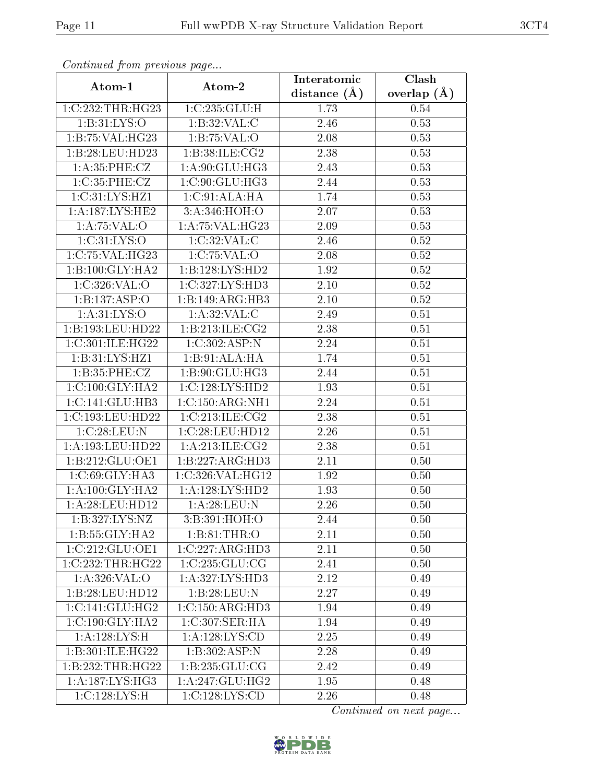| Continuea from previous page |                     | Interatomic    | Clash         |  |
|------------------------------|---------------------|----------------|---------------|--|
| Atom-1                       | Atom-2              | distance $(A)$ | overlap $(A)$ |  |
| 1:C:232:THR:HG23             | 1:C:235:GLU:H       | 1.73           | 0.54          |  |
| 1: B: 31: LYS: O             | 1:B:32:VAL:C        | 2.46           | 0.53          |  |
| 1:B:75:VAL:HG23              | 1:B:75:VAL:O        | 2.08           | 0.53          |  |
| 1:B:28:LEU:HD23              | 1:B:38:ILE:CG2      | 2.38           | 0.53          |  |
| 1: A: 35: PHE: CZ            | 1:A:90:GLU:HG3      | 2.43           | 0.53          |  |
| 1:C:35:PHE:CZ                | 1:C:90:GLU:HG3      | 2.44           | 0.53          |  |
| 1: C: 31: LYS: HZ1           | 1:C:91:ALA:HA       | 1.74           | 0.53          |  |
| 1: A: 187: LYS: HE2          | 3:A:346:HOH:O       | 2.07           | 0.53          |  |
| 1:A:75:VAL:O                 | 1: A:75: VAL:HG23   | 2.09           | 0.53          |  |
| 1: C: 31: LYS: O             | 1:C:32:VAL:CC       | 2.46           | 0.52          |  |
| 1:C:75:VAL:HG23              | 1:C:75:VAL:O        | 2.08           | 0.52          |  |
| 1:B:100:GLY:HA2              | 1:B:128:LYS:HD2     | 1.92           | 0.52          |  |
| 1:C:326:VAL:O                | 1:C:327:LYS:HD3     | 2.10           | 0.52          |  |
| 1:B:137:ASP:O                | 1:B:149:ARG:HB3     | 2.10           | 0.52          |  |
| 1: A:31: LYS:O               | 1: A:32: VAL:C      | 2.49           | 0.51          |  |
| 1:B:193:LEU:HD22             | 1: B: 213: ILE: CG2 | 2.38           | 0.51          |  |
| 1:C:301:ILE:HG22             | 1:C:302:ASP:N       | 2.24           | 0.51          |  |
| 1:B:31:LYS:HZ1               | 1:B:91:ALA:HA       | 1.74           | 0.51          |  |
| 1: B:35: PHE: CZ             | 1: B:90: GLU: HG3   | 2.44           | 0.51          |  |
| 1:C:100:GLY:HA2              | 1:C:128:LYS:HD2     | 1.93           | 0.51          |  |
| 1:C:141:GLU:HB3              | 1:C:150:ARG:NH1     | 2.24           | 0.51          |  |
| 1:C:193:LEU:HD22             | 1:C:213:ILE:CG2     | 2.38           | 0.51          |  |
| 1:C:28:LEU:N                 | 1:C:28:LEU:HD12     | 2.26           | 0.51          |  |
| 1: A: 193: LEU: HD22         | 1: A:213: ILE: CG2  | 2.38           | 0.51          |  |
| 1:B:212:GLU:OE1              | 1:B:227:ARG:HD3     | 2.11           | 0.50          |  |
| 1: C:69: GLY: HA3            | 1:C:326:VAL:HG12    | 1.92           | 0.50          |  |
| 1: A: 100: GLY: HA2          | 1: A: 128: LYS: HD2 | 1.93           | 0.50          |  |
| 1: A:28:LEU:HD12             | 1: A:28:LEU:N       | 2.26           | 0.50          |  |
| 1:B:327:LYS:NZ               | 3:B:391:HOH:O       | 2.44           | 0.50          |  |
| 1:B:55:GLY:HA2               | 1:B:81:THR:O        | 2.11           | 0.50          |  |
| 1:C:212:GLU:OE1              | 1:C:227:ARG:HD3     | 2.11           | 0.50          |  |
| 1:C:232:THR:HG22             | 1:C:235:GLU:CG      | 2.41           | 0.50          |  |
| 1: A:326: VAL:O              | 1:A:327:LYS:HD3     | 2.12           | 0.49          |  |
| 1:B:28:LEU:HD12              | 1:B:28:LEU:N        | 2.27           | 0.49          |  |
| 1:C:141:GLU:HG2              | 1:C:150:ARG:HD3     | 1.94           | 0.49          |  |
| 1:C:190:GLY:HA2              | 1:C:307:SER:HA      | 1.94           | 0.49          |  |
| 1: A:128:LYS:H               | 1: A: 128: LYS: CD  | 2.25           | 0.49          |  |
| 1:B:301:ILE:HG22             | 1:B:302:ASP:N       | 2.28           | 0.49          |  |
| 1:B:232:THR:HG22             | 1: B: 235: GLU: CG  | 2.42           | 0.49          |  |
| 1: A: 187: LYS: HG3          | 1: A:247: GLU:HG2   | 1.95           | 0.48          |  |
| 1:C:128:LYS:H                | 1:C:128:LYS:CD      | 2.26           | 0.48          |  |

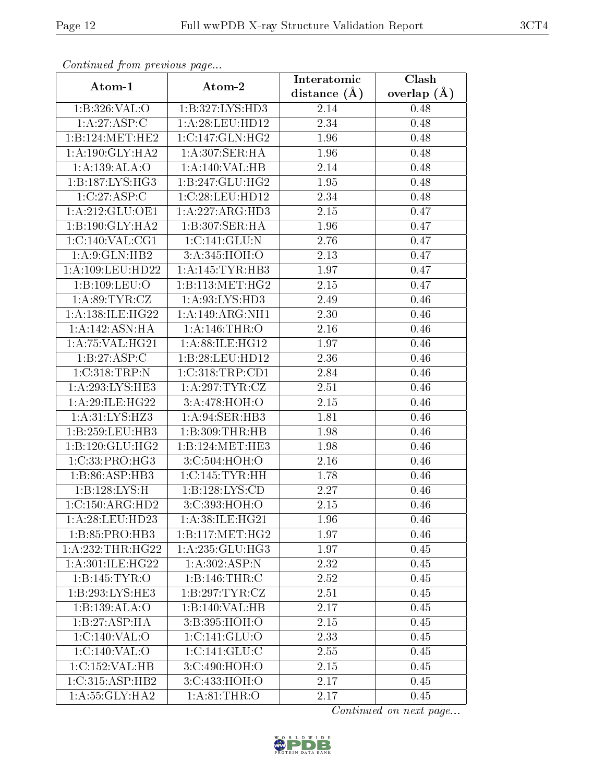| Communa from previous page |                             | Interatomic       | Clash           |
|----------------------------|-----------------------------|-------------------|-----------------|
| Atom-1                     | Atom-2                      | distance $(\AA)$  | overlap $(\AA)$ |
| 1:B:326:VAL:O              | 1:B:327:LYS:HD3             | 2.14              | 0.48            |
| 1: A:27:ASP:C              | 1: A:28:LEU:HD12            | $\overline{2.34}$ | 0.48            |
| 1:B:124:MET:HE2            | 1:C:147:GLN:HG2             | 1.96              | 0.48            |
| 1: A:190: GLY:HA2          | 1: A:307: SER: HA           | 1.96              | 0.48            |
| 1:A:139:ALA:O              | 1:A:140:VAL:HB              | 2.14              | 0.48            |
| 1:B:187:LYS:HG3            | 1:B:247:GLU:HG2             | 1.95              | 0.48            |
| 1:C:27:ASP:C               | 1:C:28:LEU:HD12             | 2.34              | 0.48            |
| 1:A:212:GLU:OE1            | 1:A:227:ARG:HD3             | 2.15              | 0.47            |
| 1:B:190:GLY:HA2            | 1:B:307:SER:HA              | 1.96              | 0.47            |
| 1:C:140:VAL:CG1            | 1: C: 141: GLU: N           | 2.76              | 0.47            |
| 1: A:9: GLN: HB2           | 3:A:345:HOH:O               | 2.13              | 0.47            |
| 1: A:109: LEU: HD22        | 1:A:145:TYR:HB3             | 1.97              | 0.47            |
| 1:B:109:LEU:O              | 1:B:113:MET:HG2             | 2.15              | 0.47            |
| 1: A:89: TYR: CZ           | 1: A:93: LYS: HD3           | 2.49              | 0.46            |
| 1:A:138:ILE:HG22           | 1:A:149:ARG:NH1             | 2.30              | 0.46            |
| 1: A:142: ASN:HA           | 1:A:146:THR:O               | 2.16              | 0.46            |
| 1: A:75: VAL:HG21          | 1:A:88:ILE:HG12             | 1.97              | 0.46            |
| 1:B:27:ASP:C               | 1:B:28:LEU:HD12             | 2.36              | 0.46            |
| 1:C:318:TRP:N              | 1:C:318:TRP:CD1             | 2.84              | 0.46            |
| 1: A:293:LYS:HE3           | 1: A:297:TYR:CZ             | 2.51              | 0.46            |
| 1: A:29: ILE:H G22         | 3:A:478:HOH:O               | 2.15              | 0.46            |
| 1: A:31: LYS: HZ3          | 1:A:94:SER:HB3              | 1.81              | 0.46            |
| 1:B:259:LEU:HB3            | 1:B:309:THR:HB              | 1.98              | 0.46            |
| 1:B:120:GLU:HG2            | 1:B:124:MET:HE3             | 1.98              | 0.46            |
| 1:C:33:PRO:HG3             | 3:C:504:HOH:O               | 2.16              | 0.46            |
| 1:B:86:ASP:HB3             | 1:C:145:TYR:HH              | 1.78              | 0.46            |
| 1:B:128:LYS:H              | 1:B:128:LYS:CD              | 2.27              | 0.46            |
| 1:C:150:ARG:HD2            | 3:C:393:HOH:O               | 2.15              | 0.46            |
| 1: A:28:LEU:HD23           | 1: A:38: ILE: HG21          | 1.96              | 0.46            |
| 1:B:85:PRO:HB3             | 1:B:117:MET:HG2             | 1.97              | 0.46            |
| 1: A: 232: THR: HG22       | 1: A: 235: GLU: HG3         | 1.97              | 0.45            |
| 1:A:301:ILE:HG22           | 1:A:302:ASP:N               | 2.32              | 0.45            |
| 1:B:145:TYR:O              | 1:B:146:THR:C               | 2.52              | 0.45            |
| 1:B:293:LYS:HE3            | 1:B:297:TYR:CZ              | 2.51              | 0.45            |
| 1:B:139:ALA:O              | 1:B:140:VAL:HB              | 2.17              | 0.45            |
| 1:B:27:ASP:HA              | $3: B:395:H\overline{OH:O}$ | 2.15              | 0.45            |
| 1:C:140:VAL:O              | 1:C:141:GLU:O               | 2.33              | 0.45            |
| 1:C:140:VAL:O              | 1:C:141:GLU:C               | 2.55              | 0.45            |
| 1:C:152:VAL:HB             | 3:C:490:HOH:O               | 2.15              | 0.45            |
| 1:C:315:ASP:HB2            | 3:C:433:HOH:O               | 2.17              | 0.45            |
| 1: A:55: GLY:HA2           | 1: A:81:THR:O               | 2.17              | 0.45            |

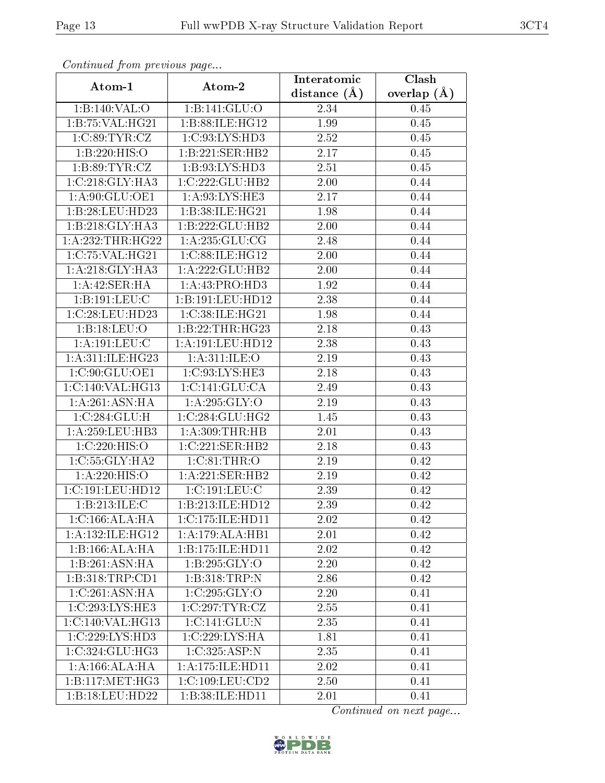| Continuea from previous page |                              | Interatomic    | Clash         |
|------------------------------|------------------------------|----------------|---------------|
| Atom-1                       | Atom-2                       | distance $(A)$ | overlap $(A)$ |
| 1:B:140:VAL:O                | 1: B: 141: GLU: O            | 2.34           | 0.45          |
| 1:B:75:VAL:HG21              | 1:B:88:ILE:HG12              | 1.99           | 0.45          |
| 1:C:89:TYR:CZ                | 1: C:93: LYS: HD3            | 2.52           | 0.45          |
| 1:B:220:HIS:O                | 1:B:221:SER:HB2              | 2.17           | 0.45          |
| 1: B:89: TYR: CZ             | 1:B:93:LYS:HD3               | 2.51           | 0.45          |
| 1:C:218:GLY:HA3              | 1:C:222:GLU:HB2              | 2.00           | 0.44          |
| 1:A:90:GLU:OE1               | 1: A:93: LYS: HE3            | 2.17           | 0.44          |
| 1:B:28:LEU:HD23              | 1:B:38:ILE:HG21              | 1.98           | 0.44          |
| 1:B:218:GLY:HA3              | 1:B:222:GLU:HB2              | 2.00           | 0.44          |
| 1:A:232:THR:HG22             | 1: A: 235: GLU: CG           | 2.48           | 0.44          |
| 1:C:75:VAL:HG21              | 1:C:88:ILE:HG12              | 2.00           | 0.44          |
| 1: A:218: GLY:HA3            | 1:A:222:GLU:HB2              | 2.00           | 0.44          |
| 1:A:42:SER:HA                | 1:A:43:PRO:HD3               | 1.92           | 0.44          |
| 1:B:191:LEU:C                | 1:B:191:LEU:HD12             | 2.38           | 0.44          |
| 1:C:28:LEU:HD23              | 1:C:38:ILE:HG21              | 1.98           | 0.44          |
| 1:B:18:LEU:O                 | 1:B:22:THR:HG23              | 2.18           | 0.43          |
| 1:A:191:LEU:C                | 1:A:191:LEU:HD12             | 2.38           | 0.43          |
| 1:A:311:ILE:HG23             | 1: A:311: ILE: O             | 2.19           | 0.43          |
| 1:C:90:GLU:OE1               | $1:\overline{C:93:LYS:HE3}$  | 2.18           | 0.43          |
| 1:C:140:VAL:HG13             | 1:C:141:GLU:CA               | 2.49           | 0.43          |
| 1: A:261: ASN: HA            | 1: A:295: GLY:O              | 2.19           | 0.43          |
| 1:C:284:GLU:H                | 1:C:284:GLU:HG2              | 1.45           | 0.43          |
| 1:A:259:LEU:HB3              | 1: A:309:THR:HB              | 2.01           | 0.43          |
| 1:C:220:HIS:O                | 1:C:221:SER:HB2              | 2.18           | 0.43          |
| 1:C:55:GLY:HA2               | 1:C:81:THR:O                 | 2.19           | 0.42          |
| 1:A:220:HIS:O                | 1:A:221:SER:HB2              | 2.19           | 0.42          |
| 1:C:191:LEU:HD12             | 1:C:191:LEU:C                | 2.39           | 0.42          |
| 1:B:213:ILE:C                | 1:B:213:ILE:HD12             | 2.39           | 0.42          |
| 1:C:166:ALA:HA               | 1:C:175:ILE:HD11             | 2.02           | 0.42          |
| 1: A: 132: ILE: HG12         | 1:A:179:ALA:HB1              | 2.01           | 0.42          |
| 1:B:166:ALA:HA               | 1:B:175:ILE:HD11             | 2.02           | 0.42          |
| 1:B:261:ASN:HA               | 1:B:295:GLY:O                | 2.20           | 0.42          |
| 1:B:318:TRP:CD1              | 1:B:318:TRP:N                | 2.86           | 0.42          |
| 1:C:261:ASN:HA               | 1:C:295:GLY:O                | 2.20           | 0.41          |
| 1:C:293:LYS:HE3              | $1:C:297:TYR: \overline{CZ}$ | 2.55           | 0.41          |
| 1:C:140:VAL:HG13             | 1: C: 141: GLU: N            | 2.35           | 0.41          |
| 1:C:229:LYS:HD3              | 1:C:229:LYS:HA               | 1.81           | 0.41          |
| 1:C:324:GLU:HG3              | 1:C:325:ASP:N                | 2.35           | 0.41          |
| 1: A: 166: ALA: HA           | 1: A:175: ILE: HDI1          | 2.02           | 0.41          |
| 1:B:117:MET:HG3              | 1:C:109:LEU:CD2              | 2.50           | 0.41          |
| 1:B:18:LEU:HD22              | 1:B:38:ILE:HD11              | 2.01           | 0.41          |

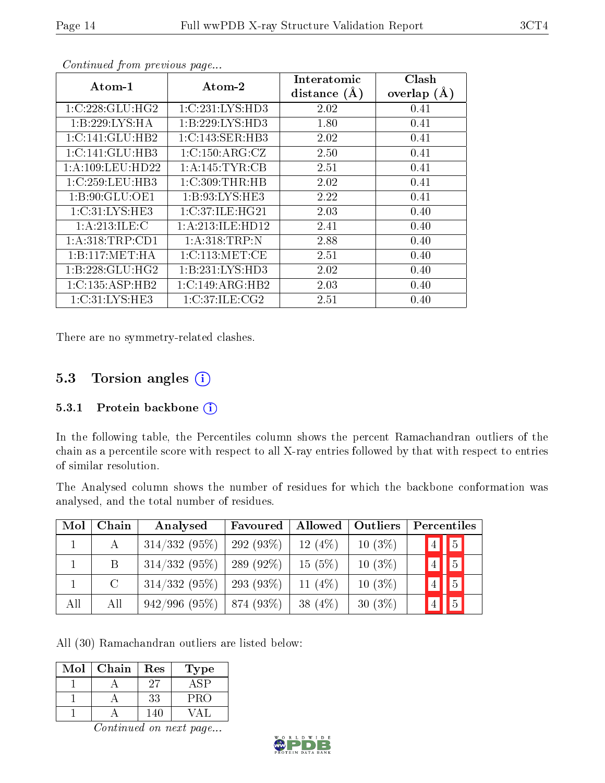| Atom-1              | Atom-2             | Interatomic<br>distance $(A)$ | Clash<br>overlap $(\AA)$ |
|---------------------|--------------------|-------------------------------|--------------------------|
| 1:C:228:GLU:HG2     | 1:C:231:LYS:HD3    | 2.02                          | 0.41                     |
| 1:B:229:LYS:HA      | 1:B:229:LYS:HD3    | 1.80                          | 0.41                     |
| 1: C: 141: GLU: HB2 | 1:C:143:SER:HB3    | 2.02                          | 0.41                     |
| 1:C:141:GLU:HB3     | 1:C:150:ARG:CZ     | 2.50                          | 0.41                     |
| 1:A:109:LEU:HD22    | 1:A:145:TYR:CB     | 2.51                          | 0.41                     |
| 1:C:259:LEU:HB3     | 1:C:309:THR:HB     | 2.02                          | 0.41                     |
| 1: B:90: GLU:OE1    | 1: B: 93: LYS: HE3 | 2.22                          | 0.41                     |
| 1:C:31:LYS:HE3      | 1:C:37:ILE:HG21    | 2.03                          | 0.40                     |
| 1: A:213: ILE:C     | 1:A:213:ILE:HD12   | 2.41                          | 0.40                     |
| 1: A:318:TRP:CD1    | 1: A:318:TRP:N     | 2.88                          | 0.40                     |
| 1:B:117:MET:HA      | 1:C:113:MET:CE     | 2.51                          | 0.40                     |
| 1:B:228:GLU:HG2     | 1:B:231:LYS:HD3    | 2.02                          | 0.40                     |
| 1:C:135:ASP:HB2     | 1:C:149:ARG:HB2    | 2.03                          | 0.40                     |
| 1:C:31:LYS:HE3      | 1:C:37:ILE:CG2     | 2.51                          | 0.40                     |

There are no symmetry-related clashes.

## 5.3 Torsion angles (i)

#### 5.3.1 Protein backbone  $(i)$

In the following table, the Percentiles column shows the percent Ramachandran outliers of the chain as a percentile score with respect to all X-ray entries followed by that with respect to entries of similar resolution.

The Analysed column shows the number of residues for which the backbone conformation was analysed, and the total number of residues.

| Mol | Chain         | Analysed                    | Favoured     | Allowed    | <b>Outliers</b> |                | Percentiles |
|-----|---------------|-----------------------------|--------------|------------|-----------------|----------------|-------------|
|     | $\mathsf{A}$  | $314/332(95\%)$             | 292 $(93\%)$ | $12(4\%)$  | $10(3\%)$       | $\overline{4}$ | $\boxed{5}$ |
|     | B             | $314/332(95\%)$             | 289 $(92\%)$ | 15(5%)     | $10(3\%)$       | $\overline{4}$ | $\boxed{5}$ |
|     | $\mathcal{C}$ | $314/332(95\%)$             | $293(93\%)$  | 11 $(4\%)$ | $10(3\%)$       |                | $\boxed{5}$ |
| All | All           | $942/996$ (95%)   874 (93%) |              | 38 $(4\%)$ | $30(3\%)$       |                | $\sqrt{5}$  |

All (30) Ramachandran outliers are listed below:

| Mol | Chain | Res | Type |
|-----|-------|-----|------|
|     |       | ソティ |      |
|     |       | 33  | PRO  |
|     |       |     |      |

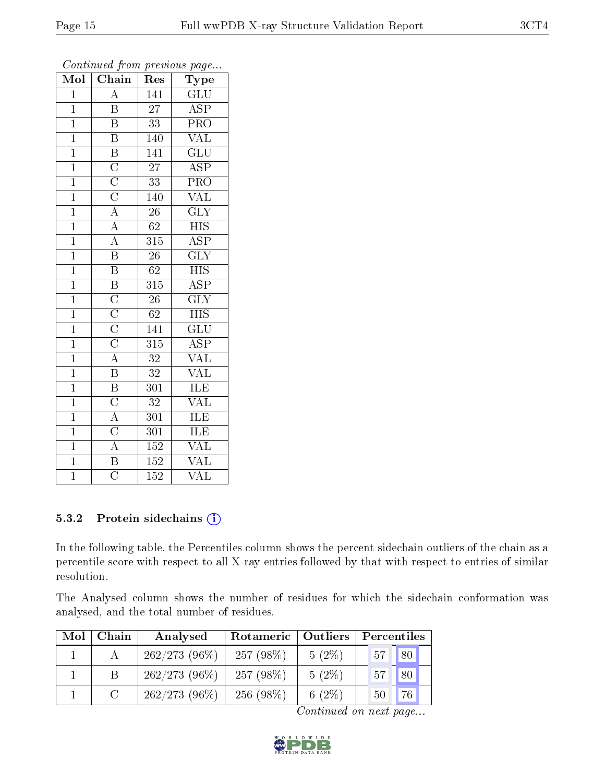| $\text{Mo}\overline{\text{l}}$ | $\overline{\text{Chain}}$                                                                                                                       | Res              | Type                    |
|--------------------------------|-------------------------------------------------------------------------------------------------------------------------------------------------|------------------|-------------------------|
| $\overline{1}$                 | $\overline{A}$                                                                                                                                  | 141              | $\overline{\text{GLU}}$ |
| $\mathbf{1}$                   | $\overline{\mathrm{B}}$                                                                                                                         | $\overline{27}$  | $\overline{\text{ASP}}$ |
| $\overline{1}$                 | $\overline{\mathrm{B}}$                                                                                                                         | $\overline{33}$  | PRO                     |
| $\overline{1}$                 | $\overline{\mathrm{B}}$                                                                                                                         | 140              | <b>VAL</b>              |
| $\overline{1}$                 |                                                                                                                                                 | $\overline{141}$ | $\overline{\text{GLU}}$ |
| $\overline{1}$                 |                                                                                                                                                 | $\overline{27}$  | $\overline{\text{ASP}}$ |
| $\overline{1}$                 |                                                                                                                                                 | $\overline{33}$  | $\overline{\text{PRO}}$ |
| $\overline{1}$                 | $\frac{\overline{B}}{\overline{C}}$ $\frac{\overline{C}}{\overline{C}}$ $\frac{\overline{C}}{\overline{A}}$ $\frac{\overline{A}}{\overline{A}}$ | 140              | $\overline{\text{VAL}}$ |
| $\overline{1}$                 |                                                                                                                                                 | $\overline{26}$  | $\overline{\text{GLY}}$ |
| $\overline{1}$                 |                                                                                                                                                 | $\overline{62}$  | $\overline{HIS}$        |
| $\overline{1}$                 |                                                                                                                                                 | $\overline{315}$ | $\overline{\text{ASP}}$ |
| $\overline{1}$                 | $\overline{\mathbf{B}}$                                                                                                                         | $\overline{26}$  | $\overline{\text{GLY}}$ |
| $\overline{1}$                 | $\overline{\mathbf{B}}$                                                                                                                         | 62               | $\overline{HIS}$        |
| $\overline{1}$                 |                                                                                                                                                 | 315              | $\overline{\text{ASP}}$ |
| $\overline{1}$                 | $\frac{\overline{B}}{\overline{C}}$ $\frac{\overline{C}}{\overline{C}}$ $\frac{\overline{C}}{\overline{A}}$ $\frac{\overline{A}}{\overline{B}}$ | $\overline{26}$  | $\overline{\text{GLY}}$ |
| $\overline{1}$                 |                                                                                                                                                 | 62               | $\overline{HIS}$        |
| $\overline{1}$                 |                                                                                                                                                 | 141              | $\overline{\text{GLU}}$ |
| $\overline{1}$                 |                                                                                                                                                 | $\overline{315}$ | $\overline{\text{ASP}}$ |
| $\overline{1}$                 |                                                                                                                                                 | $\overline{32}$  | $\overline{\text{VAL}}$ |
| $\overline{1}$                 |                                                                                                                                                 | $\overline{32}$  | $\overline{\text{VAL}}$ |
| $\overline{1}$                 | $\overline{B}$                                                                                                                                  | $\overline{301}$ | <b>ILE</b>              |
| $\overline{1}$                 |                                                                                                                                                 | $\overline{32}$  | $\overline{\text{VAL}}$ |
| $\overline{1}$                 | $\frac{\overline{C}}{\overline{A}}$ $\frac{\overline{A}}{\overline{B}}$                                                                         | 301              | ILE                     |
| $\overline{1}$                 |                                                                                                                                                 | $\overline{301}$ | <b>ILE</b>              |
| $\overline{1}$                 |                                                                                                                                                 | <b>152</b>       | <b>VAL</b>              |
| $\overline{1}$                 |                                                                                                                                                 | 152              | $\rm V\overline{AL}$    |
| $\overline{1}$                 | $\overline{\overline{\rm C}}$                                                                                                                   | $\overline{152}$ | $\overline{\text{VAL}}$ |

#### 5.3.2 Protein sidechains (i)

In the following table, the Percentiles column shows the percent sidechain outliers of the chain as a percentile score with respect to all X-ray entries followed by that with respect to entries of similar resolution.

The Analysed column shows the number of residues for which the sidechain conformation was analysed, and the total number of residues.

| Mol | Chain | Analysed        | Rotameric   Outliers |           | Percentiles      |
|-----|-------|-----------------|----------------------|-----------|------------------|
|     |       | $262/273(96\%)$ | 257 $(98\%)$         | $5(2\%)$  | $\vert$ 80<br>57 |
|     |       | $262/273(96\%)$ | 257 $(98\%)$         | $5(2\%)$  | 80<br>57         |
|     |       | $262/273(96\%)$ | 256 (98\%)           | 6 $(2\%)$ | 76<br>50         |

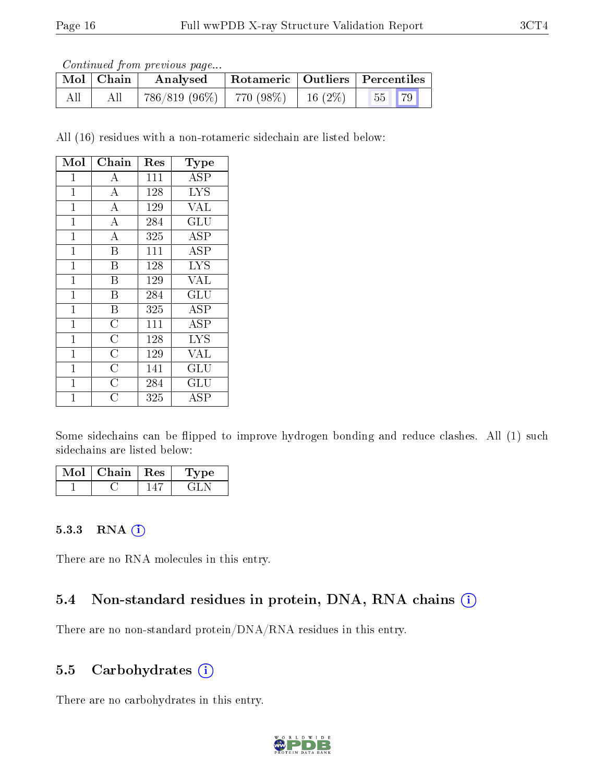Continued from previous page...

|     | $\mid$ Mol $\mid$ Chain | Analysed                                 | Rotameric   Outliers   Percentiles |       |  |
|-----|-------------------------|------------------------------------------|------------------------------------|-------|--|
| All | All                     | $786/819$ (96\%)   770 (98\%)   16 (2\%) |                                    | 55 79 |  |

All (16) residues with a non-rotameric sidechain are listed below:

| Mol            | Chain                 | Res | Type                   |
|----------------|-----------------------|-----|------------------------|
| 1              | A                     | 111 | <b>ASP</b>             |
| $\mathbf{1}$   | $\overline{\rm A}$    | 128 | <b>LYS</b>             |
| $\overline{1}$ | $\overline{A}$        | 129 | VAL                    |
| $\mathbf 1$    | $\overline{\rm A}$    | 284 | $\overline{{\rm GLU}}$ |
| $\mathbf{1}$   | $\overline{\rm A}$    | 325 | <b>ASP</b>             |
| $\mathbf 1$    | B                     | 111 | ASP                    |
| $\mathbf{1}$   | B                     | 128 | <b>LYS</b>             |
| $\mathbf{1}$   | B                     | 129 | VAL                    |
| $\mathbf{1}$   | B                     | 284 | GLU                    |
| $\mathbf{1}$   | $\boldsymbol{B}$      | 325 | <b>ASP</b>             |
| $\mathbf{1}$   | $\overline{\rm C}$    | 111 | ASP                    |
| $\mathbf 1$    | $\overline{\rm C}$    | 128 | <b>LYS</b>             |
| $\mathbf 1$    | $\overline{\text{C}}$ | 129 | VAL                    |
| $\mathbf{1}$   | $\overline{\rm C}$    | 141 | GLU                    |
| $\mathbf{1}$   | $\overline{C}$        | 284 | GLU                    |
| 1              | $\overline{\rm C}$    | 325 | ${\rm ASP}$            |

Some sidechains can be flipped to improve hydrogen bonding and reduce clashes. All (1) such sidechains are listed below:

| Mol | Chain   Res | Type |
|-----|-------------|------|
|     |             |      |

#### 5.3.3 RNA (i)

There are no RNA molecules in this entry.

## 5.4 Non-standard residues in protein, DNA, RNA chains (i)

There are no non-standard protein/DNA/RNA residues in this entry.

## 5.5 Carbohydrates  $(i)$

There are no carbohydrates in this entry.

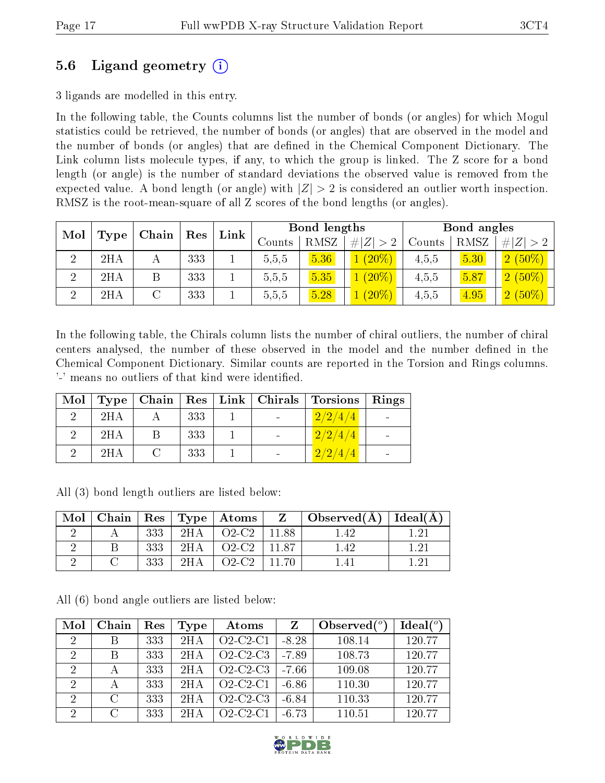## 5.6 Ligand geometry (i)

3 ligands are modelled in this entry.

In the following table, the Counts columns list the number of bonds (or angles) for which Mogul statistics could be retrieved, the number of bonds (or angles) that are observed in the model and the number of bonds (or angles) that are dened in the Chemical Component Dictionary. The Link column lists molecule types, if any, to which the group is linked. The Z score for a bond length (or angle) is the number of standard deviations the observed value is removed from the expected value. A bond length (or angle) with  $|Z| > 2$  is considered an outlier worth inspection. RMSZ is the root-mean-square of all Z scores of the bond lengths (or angles).

| Mol      | Chain       |   |     |  | Res    |             |             |        |      |             |  |  |  |  |  |  |  |  | Link | <b>Bond lengths</b> |  |  | Bond angles |  |  |
|----------|-------------|---|-----|--|--------|-------------|-------------|--------|------|-------------|--|--|--|--|--|--|--|--|------|---------------------|--|--|-------------|--|--|
|          | <b>Type</b> |   |     |  | Counts | <b>RMSZ</b> | # $ Z  > 2$ | Counts | RMSZ | $\# Z  > 2$ |  |  |  |  |  |  |  |  |      |                     |  |  |             |  |  |
|          | 2HA         |   | 333 |  | 5,5,5  | 5.36        | $(20\%)$    | 4,5,5  | 5.30 | $2(50\%)$   |  |  |  |  |  |  |  |  |      |                     |  |  |             |  |  |
| $\Omega$ | 2HA         | Β | 333 |  | 5,5,5  | 5.35        | $(20\%)$    | 4,5,5  | 5.87 | $2(50\%)$   |  |  |  |  |  |  |  |  |      |                     |  |  |             |  |  |
|          | 2HA         |   | 333 |  | 5,5,5  | 5.28        | $(20\%)$    | 4,5,5  | 4.95 | $2(50\%)$   |  |  |  |  |  |  |  |  |      |                     |  |  |             |  |  |

In the following table, the Chirals column lists the number of chiral outliers, the number of chiral centers analysed, the number of these observed in the model and the number defined in the Chemical Component Dictionary. Similar counts are reported in the Torsion and Rings columns. '-' means no outliers of that kind were identified.

| Mol |     | Type   Chain |     |  | Res   Link   Chirals   Torsions | Rings |
|-----|-----|--------------|-----|--|---------------------------------|-------|
|     | 2HA |              | 333 |  | 2/2/4/4                         |       |
|     | 2HA |              | 333 |  | 2/2/4/4                         |       |
|     | 2HA |              | 333 |  | 2/2/4/4                         |       |

All (3) bond length outliers are listed below:

| Mol | Chain |     |      | $\vert$ Res $\vert$ Type $\vert$ Atoms $\vert$ | $\mathbf{Z}$ . | $\mid$ Observed( $\AA$ ) $\mid$ Ideal( $\AA$ ) |  |
|-----|-------|-----|------|------------------------------------------------|----------------|------------------------------------------------|--|
|     |       | 333 | 2HA  | $O2-C2$                                        | 11.88          | l 42                                           |  |
|     |       | 333 | 2HA  | $O2-C2$                                        | 11.87          | l 49                                           |  |
|     |       | 333 | 9H A | $O2-C2$                                        | 11.70          |                                                |  |

All (6) bond angle outliers are listed below:

| Mol | Chain    | Res | Type | Atoms                                | Z        | Observed $(°)$ | Ideal $(°)$ |
|-----|----------|-----|------|--------------------------------------|----------|----------------|-------------|
| 2   | В        | 333 | 2HA  | $O2$ -C <sub>2</sub> -C <sub>1</sub> | $-8.28$  | 108.14         | 120.77      |
| 2   | В        | 333 | 2H A | $O2$ -C <sub>2</sub> -C <sub>3</sub> | $-7.89$  | 108.73         | 120.77      |
| 2   |          | 333 | 2HA  | $O2-C2-C3$                           | l -7.66. | 109.08         | 120.77      |
| 2   |          | 333 | 2H A | $O2-C2-C1$                           | -6.86    | 110.30         | 120.77      |
| 2   | $\cap$   | 333 | 2H A | $O2-C2-C3$                           | $-6.84$  | 110.33         | 120.77      |
| 2   | $\Gamma$ | 333 | 2H A | $O2$ -C <sub>2</sub> -C <sub>1</sub> | $-6.73$  | 110.51         | 120.77      |

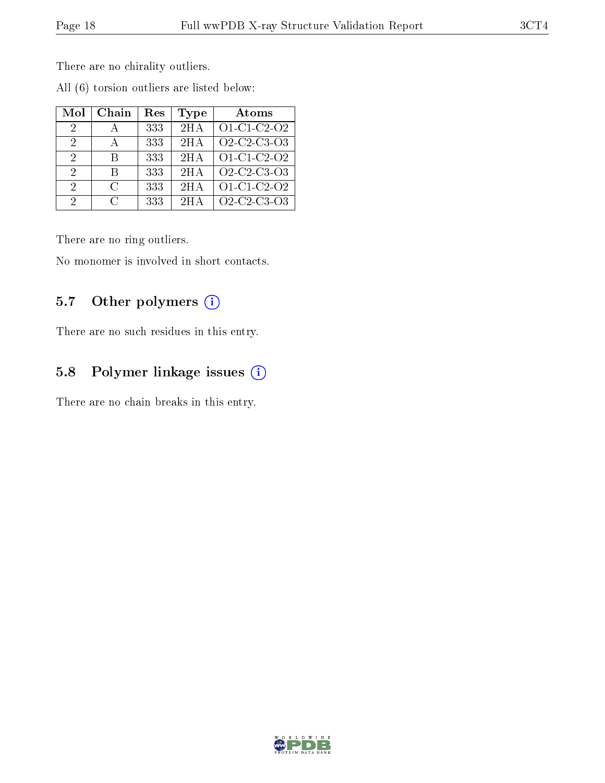There are no chirality outliers.

| Mol | Chain  | Res | Type | Atoms                                                          |
|-----|--------|-----|------|----------------------------------------------------------------|
| 2   |        | 333 | 2HA  | O1-C1-C2-O2                                                    |
| 2   | А      | 333 | 2H A | O <sub>2</sub> -C <sub>2</sub> -C <sub>3</sub> -O <sub>3</sub> |
| 2   | R      | 333 | 2HA  | O1-C1-C2-O2                                                    |
| 2   | R      | 333 | 2HA  | O <sub>2</sub> -C <sub>2</sub> -C <sub>3</sub> -O <sub>3</sub> |
| 2   | $\cap$ | 333 | 2HA  | O1-C1-C2-O2                                                    |
| 2   | $\cap$ | 333 | 2H A | O <sub>2</sub> -C <sub>2</sub> -C <sub>3</sub> -O <sub>3</sub> |

All (6) torsion outliers are listed below:

There are no ring outliers.

No monomer is involved in short contacts.

## 5.7 [O](https://www.wwpdb.org/validation/2017/XrayValidationReportHelp#nonstandard_residues_and_ligands)ther polymers (i)

There are no such residues in this entry.

## 5.8 Polymer linkage issues (i)

There are no chain breaks in this entry.

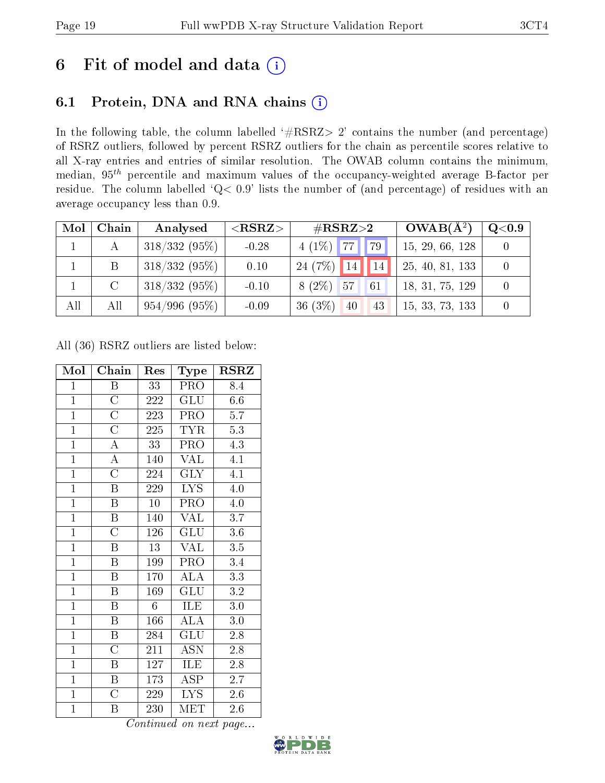# 6 Fit of model and data  $(i)$

# 6.1 Protein, DNA and RNA chains  $(i)$

In the following table, the column labelled  $#RSRZ> 2'$  contains the number (and percentage) of RSRZ outliers, followed by percent RSRZ outliers for the chain as percentile scores relative to all X-ray entries and entries of similar resolution. The OWAB column contains the minimum, median,  $95<sup>th</sup>$  percentile and maximum values of the occupancy-weighted average B-factor per residue. The column labelled ' $Q< 0.9$ ' lists the number of (and percentage) of residues with an average occupancy less than 0.9.

| Mol | Chain         | Analysed        | ${ <\hspace{-1.5pt}{\mathrm{RSRZ}} \hspace{-1.5pt}>}$ | $\#\text{RSRZ}\text{>2}$  | $OWAB(A^2)$     | $\rm Q\textcolor{black}{<}0.9$ |
|-----|---------------|-----------------|-------------------------------------------------------|---------------------------|-----------------|--------------------------------|
|     |               | $318/332(95\%)$ | $-0.28$                                               | $4(1\%)$ 77<br>$\vert$ 79 | 15, 29, 66, 128 |                                |
|     | B             | $318/332(95\%)$ | 0.10                                                  | 24 (7\%) 14<br>14         | 25, 40, 81, 133 |                                |
|     | $\mathcal{C}$ | $318/332(95\%)$ | $-0.10$                                               | $8(2\%)$ 57<br>61         | 18, 31, 75, 129 |                                |
| All | All           | 954/996(95%)    | $-0.09$                                               | 36(3%)<br>40<br>43        | 15, 33, 73, 133 |                                |

All (36) RSRZ outliers are listed below:

| Mol            | Chain                   | Res             | Type                      | <b>RSRZ</b>      |
|----------------|-------------------------|-----------------|---------------------------|------------------|
| $\mathbf{1}$   | Β                       | 33              | <b>PRO</b>                | 8.4              |
| $\overline{1}$ | $\overline{\rm C}$      | 222             | <b>GLU</b>                | 6.6              |
| $\overline{1}$ | $\overline{\text{C}}$   | 223             | PRO                       | 5.7              |
| $\overline{1}$ | $\overline{\rm C}$      | 225             | <b>TYR</b>                | 5.3              |
| $\mathbf{1}$   | $\boldsymbol{A}$        | 33              | PRO                       | 4.3              |
| $\overline{1}$ | $\overline{\rm A}$      | 140             | $\overline{\text{VAL}}$   | $\overline{4.1}$ |
| $\overline{1}$ | $\overline{C}$          | 224             | $\overline{\text{GLY}}$   | 4.1              |
| $\overline{1}$ | $\boldsymbol{B}$        | 229             | <b>LYS</b>                | 4.0              |
| $\mathbf{1}$   | $\overline{\mathrm{B}}$ | $\overline{10}$ | PRO                       | $4.0\,$          |
| $\mathbf{1}$   | B                       | 140             | VAL                       | 3.7              |
| $\overline{1}$ | $\overline{\rm C}$      | 126             | $\overline{\mathrm{GLU}}$ | $\overline{3.6}$ |
| $\mathbf{1}$   | B                       | 13              | VAL                       | 3.5              |
| $\overline{1}$ | $\overline{B}$          | 199             | PRO                       | 3.4              |
| $\overline{1}$ | $\boldsymbol{B}$        | 170             | <b>ALA</b>                | $\overline{3.3}$ |
| $\overline{1}$ | $\boldsymbol{B}$        | 169             | $\overline{\mathrm{GLU}}$ | 3.2              |
| $\overline{1}$ | $\overline{\mathrm{B}}$ | 6               | ILE                       | $3.0\,$          |
| $\overline{1}$ | $\boldsymbol{B}$        | 166             | $\overline{\rm ALA}$      | 3.0              |
| $\overline{1}$ | $\overline{\mathrm{B}}$ | 284             | $\overline{\mathrm{GLU}}$ | 2.8              |
| $\overline{1}$ | $\overline{\rm C}$      | 211             | <b>ASN</b>                | 2.8              |
| $\mathbf{1}$   | $\boldsymbol{B}$        | 127             | ILE                       | $2.8\,$          |
| $\overline{1}$ | $\boldsymbol{B}$        | 173             | ASP                       | 2.7              |
| $\overline{1}$ | $\overline{\rm C}$      | 229             | <b>LYS</b>                | $2.6\,$          |
| $\mathbf{1}$   | Β                       | 230             | MET                       | 2.6              |